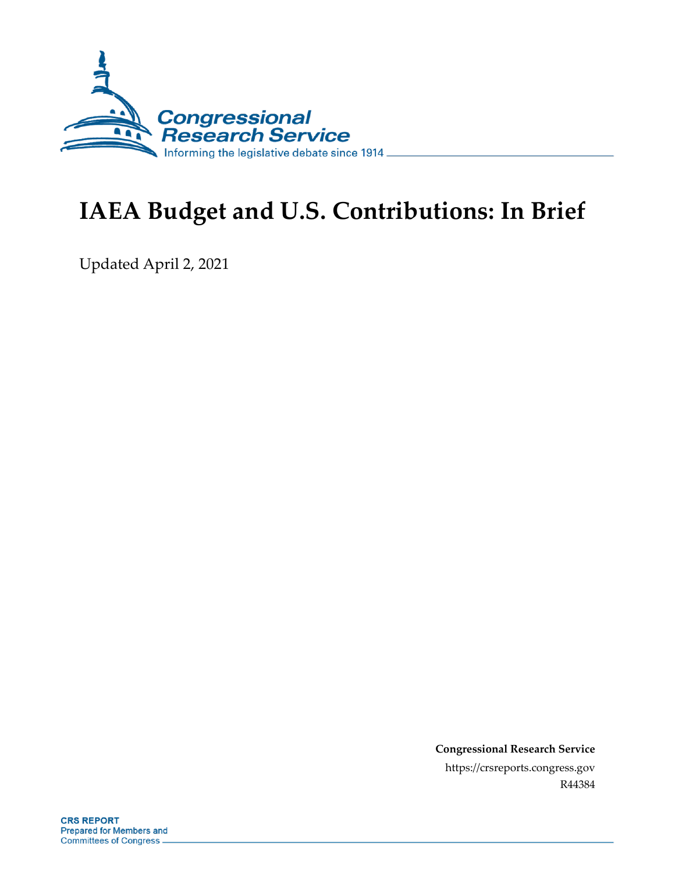

# **IAEA Budget and U.S. Contributions: In Brief**

Updated April 2, 2021

**Congressional Research Service** https://crsreports.congress.gov R44384

**CRS REPORT Prepared for Members and Committees of Congress**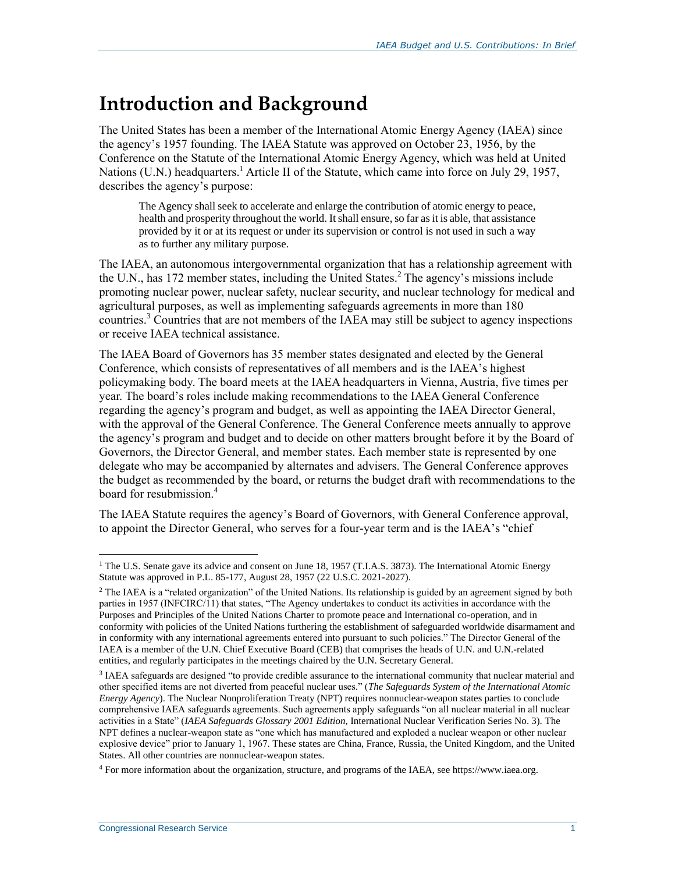## **Introduction and Background**

The United States has been a member of the International Atomic Energy Agency (IAEA) since the agency's 1957 founding. The IAEA Statute was approved on October 23, 1956, by the Conference on the Statute of the International Atomic Energy Agency, which was held at United Nations (U.N.) headquarters.<sup>1</sup> Article II of the Statute, which came into force on July 29, 1957, describes the agency's purpose:

The Agency shall seek to accelerate and enlarge the contribution of atomic energy to peace, health and prosperity throughout the world. It shall ensure, so far as it is able, that assistance provided by it or at its request or under its supervision or control is not used in such a way as to further any military purpose.

The IAEA, an autonomous intergovernmental organization that has a relationship agreement with the U.N., has 172 member states, including the United States. <sup>2</sup> The agency's missions include promoting nuclear power, nuclear safety, nuclear security, and nuclear technology for medical and agricultural purposes, as well as implementing safeguards agreements in more than 180 countries.<sup>3</sup> Countries that are not members of the IAEA may still be subject to agency inspections or receive IAEA technical assistance.

The IAEA Board of Governors has 35 member states designated and elected by the General Conference, which consists of representatives of all members and is the IAEA's highest policymaking body. The board meets at the IAEA headquarters in Vienna, Austria, five times per year. The board's roles include making recommendations to the IAEA General Conference regarding the agency's program and budget, as well as appointing the IAEA Director General, with the approval of the General Conference. The General Conference meets annually to approve the agency's program and budget and to decide on other matters brought before it by the Board of Governors, the Director General, and member states. Each member state is represented by one delegate who may be accompanied by alternates and advisers. The General Conference approves the budget as recommended by the board, or returns the budget draft with recommendations to the board for resubmission.<sup>4</sup>

The IAEA Statute requires the agency's Board of Governors, with General Conference approval, to appoint the Director General, who serves for a four-year term and is the IAEA's "chief

 $1$  The U.S. Senate gave its advice and consent on June 18, 1957 (T.I.A.S. 3873). The International Atomic Energy Statute was approved in P.L. 85-177, August 28, 1957 (22 U.S.C. 2021-2027).

 $<sup>2</sup>$  The IAEA is a "related organization" of the United Nations. Its relationship is guided by an agreement signed by both</sup> parties in 1957 (INFCIRC/11) that states, "The Agency undertakes to conduct its activities in accordance with the Purposes and Principles of the United Nations Charter to promote peace and International co-operation, and in conformity with policies of the United Nations furthering the establishment of safeguarded worldwide disarmament and in conformity with any international agreements entered into pursuant to such policies." The Director General of the IAEA is a member of the U.N. Chief Executive Board (CEB) that comprises the heads of U.N. and U.N.-related entities, and regularly participates in the meetings chaired by the U.N. Secretary General.

<sup>&</sup>lt;sup>3</sup> IAEA safeguards are designed "to provide credible assurance to the international community that nuclear material and other specified items are not diverted from peaceful nuclear uses." (*The Safeguards System of the International Atomic Energy Agency*). The Nuclear Nonproliferation Treaty (NPT) requires nonnuclear-weapon states parties to conclude comprehensive IAEA safeguards agreements. Such agreements apply safeguards "on all nuclear material in all nuclear activities in a State" (*IAEA Safeguards Glossary 2001 Edition,* International Nuclear Verification Series No. 3). The NPT defines a nuclear-weapon state as "one which has manufactured and exploded a nuclear weapon or other nuclear explosive device" prior to January 1, 1967. These states are China, France, Russia, the United Kingdom, and the United States. All other countries are nonnuclear-weapon states.

<sup>4</sup> For more information about the organization, structure, and programs of the IAEA, see https://www.iaea.org.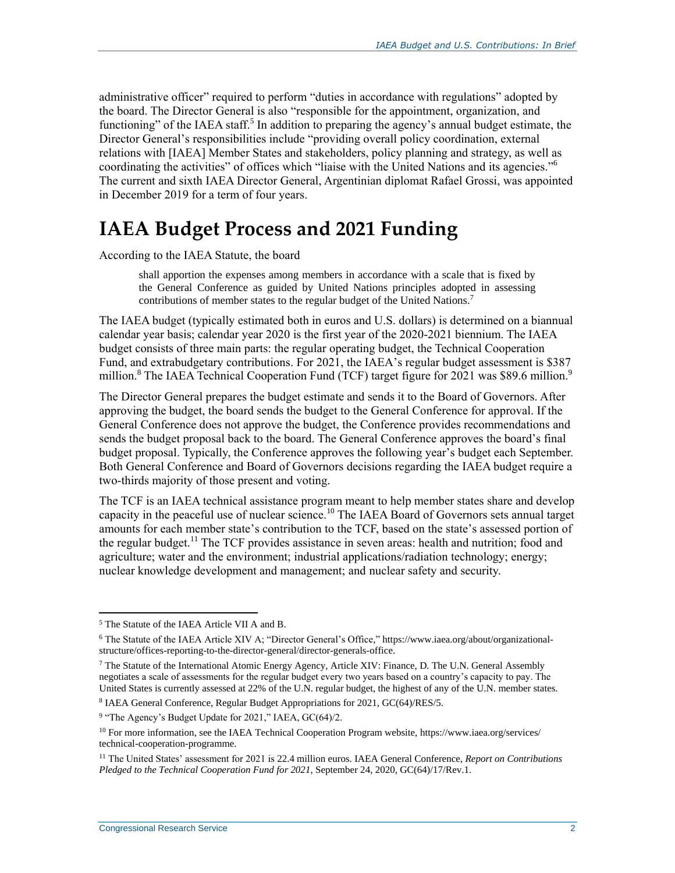administrative officer" required to perform "duties in accordance with regulations" adopted by the board. The Director General is also "responsible for the appointment, organization, and functioning" of the IAEA staff.<sup>5</sup> In addition to preparing the agency's annual budget estimate, the Director General's responsibilities include "providing overall policy coordination, external relations with [IAEA] Member States and stakeholders, policy planning and strategy, as well as coordinating the activities" of offices which "liaise with the United Nations and its agencies." 6 The current and sixth IAEA Director General, Argentinian diplomat Rafael Grossi, was appointed in December 2019 for a term of four years.

## **IAEA Budget Process and 2021 Funding**

According to the IAEA Statute, the board

shall apportion the expenses among members in accordance with a scale that is fixed by the General Conference as guided by United Nations principles adopted in assessing contributions of member states to the regular budget of the United Nations.<sup>7</sup>

The IAEA budget (typically estimated both in euros and U.S. dollars) is determined on a biannual calendar year basis; calendar year 2020 is the first year of the 2020-2021 biennium. The IAEA budget consists of three main parts: the regular operating budget, the Technical Cooperation Fund, and extrabudgetary contributions. For 2021, the IAEA's regular budget assessment is \$387 million.<sup>8</sup> The IAEA Technical Cooperation Fund (TCF) target figure for 2021 was \$89.6 million.<sup>9</sup>

The Director General prepares the budget estimate and sends it to the Board of Governors. After approving the budget, the board sends the budget to the General Conference for approval. If the General Conference does not approve the budget, the Conference provides recommendations and sends the budget proposal back to the board. The General Conference approves the board's final budget proposal. Typically, the Conference approves the following year's budget each September. Both General Conference and Board of Governors decisions regarding the IAEA budget require a two-thirds majority of those present and voting.

The TCF is an IAEA technical assistance program meant to help member states share and develop capacity in the peaceful use of nuclear science.<sup>10</sup> The IAEA Board of Governors sets annual target amounts for each member state's contribution to the TCF, based on the state's assessed portion of the regular budget.<sup>11</sup> The TCF provides assistance in seven areas: health and nutrition; food and agriculture; water and the environment; industrial applications/radiation technology; energy; nuclear knowledge development and management; and nuclear safety and security.

<sup>5</sup> The Statute of the IAEA Article VII A and B.

<sup>6</sup> The Statute of the IAEA Article XIV A; "Director General's Office," https://www.iaea.org/about/organizationalstructure/offices-reporting-to-the-director-general/director-generals-office.

 $7$  The Statute of the International Atomic Energy Agency, Article XIV: Finance, D. The U.N. General Assembly negotiates a scale of assessments for the regular budget every two years based on a country's capacity to pay. The United States is currently assessed at 22% of the U.N. regular budget, the highest of any of the U.N. member states.

<sup>&</sup>lt;sup>8</sup> IAEA General Conference, Regular Budget Appropriations for 2021, GC(64)/RES/5.

<sup>&</sup>lt;sup>9</sup> "The Agency's Budget Update for 2021," IAEA, GC(64)/2.

<sup>10</sup> For more information, see the IAEA Technical Cooperation Program website, https://www.iaea.org/services/ technical-cooperation-programme.

<sup>11</sup> The United States' assessment for 2021 is 22.4 million euros. IAEA General Conference, *Report on Contributions Pledged to the Technical Cooperation Fund for 2021*, September 24, 2020, GC(64)/17/Rev.1.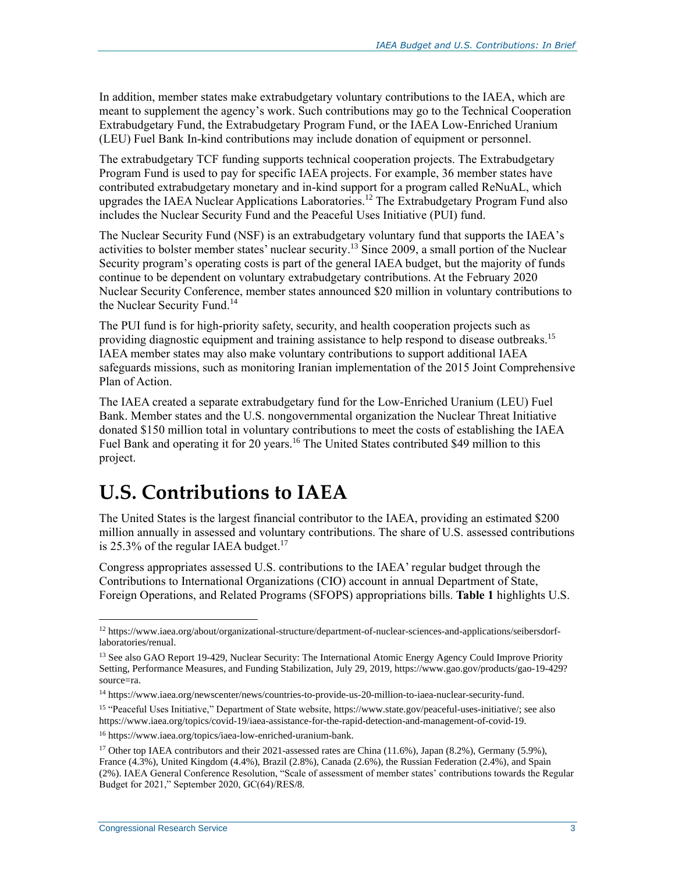In addition, member states make extrabudgetary voluntary contributions to the IAEA, which are meant to supplement the agency's work. Such contributions may go to the Technical Cooperation Extrabudgetary Fund, the Extrabudgetary Program Fund, or the IAEA Low-Enriched Uranium (LEU) Fuel Bank In-kind contributions may include donation of equipment or personnel.

The extrabudgetary TCF funding supports technical cooperation projects. The Extrabudgetary Program Fund is used to pay for specific IAEA projects. For example, 36 member states have contributed extrabudgetary monetary and in-kind support for a program called ReNuAL, which upgrades the IAEA Nuclear Applications Laboratories. <sup>12</sup> The Extrabudgetary Program Fund also includes the Nuclear Security Fund and the Peaceful Uses Initiative (PUI) fund.

The Nuclear Security Fund (NSF) is an extrabudgetary voluntary fund that supports the IAEA's activities to bolster member states' nuclear security.<sup>13</sup> Since 2009, a small portion of the Nuclear Security program's operating costs is part of the general IAEA budget, but the majority of funds continue to be dependent on voluntary extrabudgetary contributions. At the February 2020 Nuclear Security Conference, member states announced \$20 million in voluntary contributions to the Nuclear Security Fund.<sup>14</sup>

The PUI fund is for high-priority safety, security, and health cooperation projects such as providing diagnostic equipment and training assistance to help respond to disease outbreaks.<sup>15</sup> IAEA member states may also make voluntary contributions to support additional IAEA safeguards missions, such as monitoring Iranian implementation of the 2015 Joint Comprehensive Plan of Action.

The IAEA created a separate extrabudgetary fund for the Low-Enriched Uranium (LEU) Fuel Bank. Member states and the U.S. nongovernmental organization the Nuclear Threat Initiative donated \$150 million total in voluntary contributions to meet the costs of establishing the IAEA Fuel Bank and operating it for 20 years.<sup>16</sup> The United States contributed \$49 million to this project.

### **U.S. Contributions to IAEA**

The United States is the largest financial contributor to the IAEA, providing an estimated \$200 million annually in assessed and voluntary contributions. The share of U.S. assessed contributions is 25.3% of the regular IAEA budget. $17$ 

Congress appropriates assessed U.S. contributions to the IAEA' regular budget through the Contributions to International Organizations (CIO) account in annual Department of State, Foreign Operations, and Related Programs (SFOPS) appropriations bills. **[Table 1](#page-4-0)** highlights U.S.

<sup>12</sup> https://www.iaea.org/about/organizational-structure/department-of-nuclear-sciences-and-applications/seibersdorflaboratories/renual.

<sup>&</sup>lt;sup>13</sup> See also GAO Report 19-429, Nuclear Security: The International Atomic Energy Agency Could Improve Priority Setting, Performance Measures, and Funding Stabilization, July 29, 2019, https://www.gao.gov/products/gao-19-429? source=ra.

<sup>14</sup> https://www.iaea.org/newscenter/news/countries-to-provide-us-20-million-to-iaea-nuclear-security-fund.

<sup>15</sup> "Peaceful Uses Initiative," Department of State website, https://www.state.gov/peaceful-uses-initiative/; see also https://www.iaea.org/topics/covid-19/iaea-assistance-for-the-rapid-detection-and-management-of-covid-19.

<sup>16</sup> https://www.iaea.org/topics/iaea-low-enriched-uranium-bank.

<sup>&</sup>lt;sup>17</sup> Other top IAEA contributors and their 2021-assessed rates are China (11.6%), Japan (8.2%), Germany (5.9%), France (4.3%), United Kingdom (4.4%), Brazil (2.8%), Canada (2.6%), the Russian Federation (2.4%), and Spain (2%). IAEA General Conference Resolution, "Scale of assessment of member states' contributions towards the Regular Budget for 2021," September 2020, GC(64)/RES/8.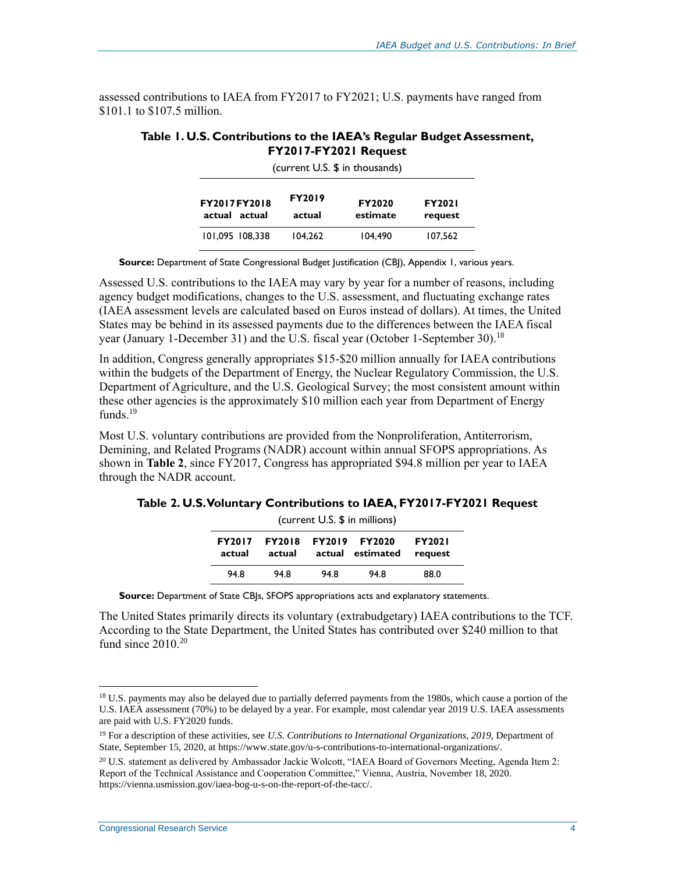<span id="page-4-0"></span>assessed contributions to IAEA from FY2017 to FY2021; U.S. payments have ranged from \$101.1 to \$107.5 million.

#### **Table 1. U.S. Contributions to the IAEA's Regular Budget Assessment, FY2017-FY2021 Request**  $(current IIS, $in the number)$

| FY2017FY2018<br>actual actual | <b>FY2019</b><br>actual | <b>FY2020</b><br>estimate | <b>FY2021</b><br>request |  |  |  |
|-------------------------------|-------------------------|---------------------------|--------------------------|--|--|--|
| 101.095 108.338               | 104.262                 | 104.490                   | 107.562                  |  |  |  |

**Source:** Department of State Congressional Budget Justification (CBJ), Appendix 1, various years.

Assessed U.S. contributions to the IAEA may vary by year for a number of reasons, including agency budget modifications, changes to the U.S. assessment, and fluctuating exchange rates (IAEA assessment levels are calculated based on Euros instead of dollars). At times, the United States may be behind in its assessed payments due to the differences between the IAEA fiscal year (January 1-December 31) and the U.S. fiscal year (October 1-September 30).<sup>18</sup>

In addition, Congress generally appropriates \$15-\$20 million annually for IAEA contributions within the budgets of the Department of Energy, the Nuclear Regulatory Commission, the U.S. Department of Agriculture, and the U.S. Geological Survey; the most consistent amount within these other agencies is the approximately \$10 million each year from Department of Energy funds. $19$ 

Most U.S. voluntary contributions are provided from the Nonproliferation, Antiterrorism, Demining, and Related Programs (NADR) account within annual SFOPS appropriations. As shown in **[Table 2](#page-4-1)**, since FY2017, Congress has appropriated \$94.8 million per year to IAEA through the NADR account.

<span id="page-4-1"></span>**Table 2. U.S. Voluntary Contributions to IAEA, FY2017-FY2021 Request**

| (current U.S. \$ in millions) |                         |        |                                   |                          |  |  |
|-------------------------------|-------------------------|--------|-----------------------------------|--------------------------|--|--|
| <b>FY2017</b><br>actual       | <b>FY2018</b><br>actual | actual | <b>FY2019 FY2020</b><br>estimated | <b>FY2021</b><br>request |  |  |
| 94.8                          | 94.8                    | 94.8   | 94.8                              | 88.0                     |  |  |

**Source:** Department of State CBJs, SFOPS appropriations acts and explanatory statements.

The United States primarily directs its voluntary (extrabudgetary) IAEA contributions to the TCF. According to the State Department, the United States has contributed over \$240 million to that fund since  $2010^{20}$ 

<sup>&</sup>lt;sup>18</sup> U.S. payments may also be delayed due to partially deferred payments from the 1980s, which cause a portion of the U.S. IAEA assessment (70%) to be delayed by a year. For example, most calendar year 2019 U.S. IAEA assessments are paid with U.S. FY2020 funds.

<sup>&</sup>lt;sup>19</sup> For a description of these activities, see *U.S. Contributions to International Organizations*, 2019, Department of State, September 15, 2020, at https://www.state.gov/u-s-contributions-to-international-organizations/.

<sup>&</sup>lt;sup>20</sup> U.S. statement as delivered by Ambassador Jackie Wolcott, "IAEA Board of Governors Meeting, Agenda Item 2: Report of the Technical Assistance and Cooperation Committee," Vienna, Austria, November 18, 2020. https://vienna.usmission.gov/iaea-bog-u-s-on-the-report-of-the-tacc/.